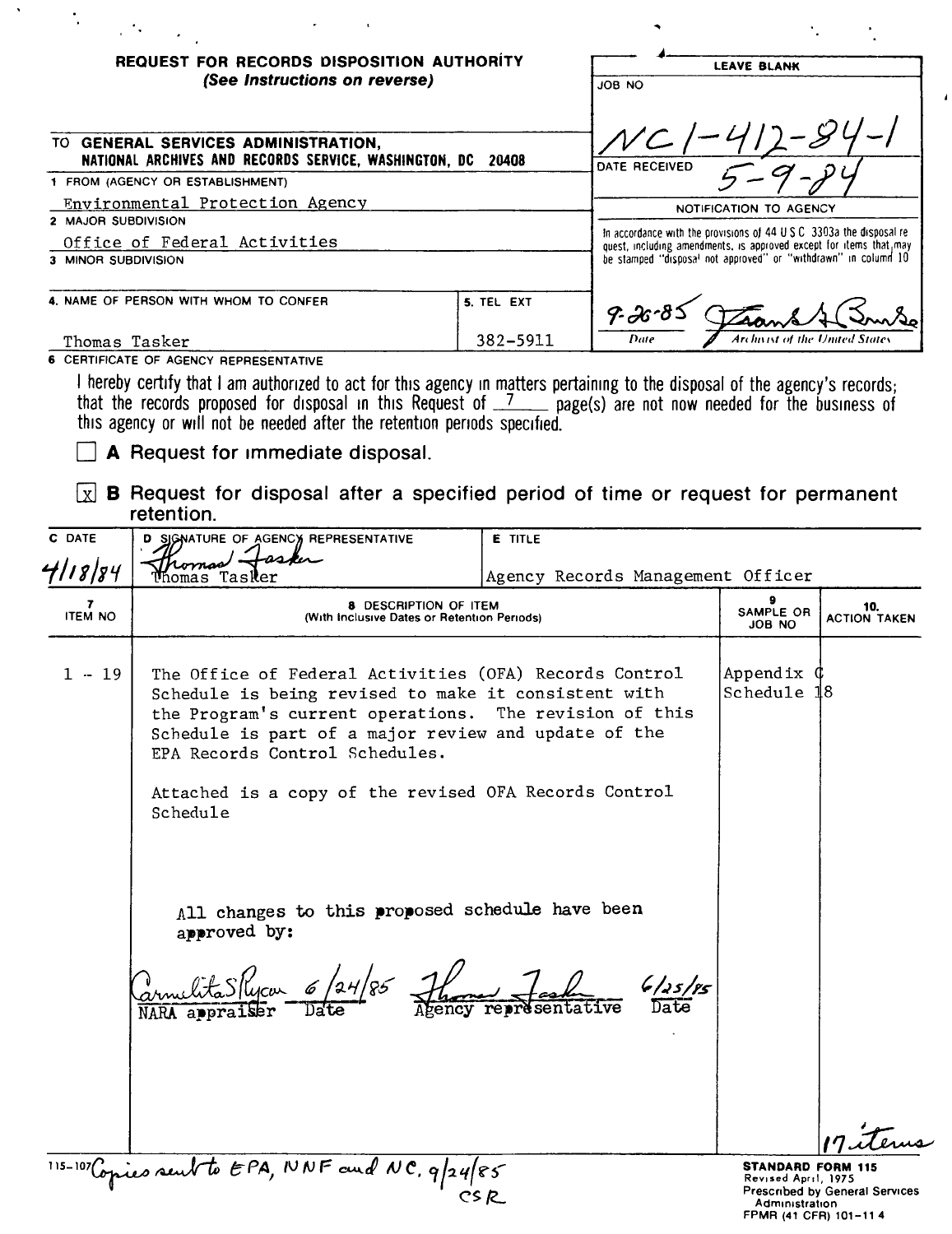| REQUEST FOR RECORDS DISPOSITION AUTHORITY                                                       |            | <b>LEAVE BLANK</b>                                                                                                                                                                                             |
|-------------------------------------------------------------------------------------------------|------------|----------------------------------------------------------------------------------------------------------------------------------------------------------------------------------------------------------------|
| (See Instructions on reverse)<br><b>GENERAL SERVICES ADMINISTRATION,</b><br>TO .                |            | ON BOL                                                                                                                                                                                                         |
| NATIONAL ARCHIVES AND RECORDS SERVICE, WASHINGTON, DC 20408<br>1 FROM (AGENCY OR ESTABLISHMENT) |            | DATE RECEIVED                                                                                                                                                                                                  |
| Environmental Protection Agency<br>2 MAJOR SUBDIVISION                                          |            | NOTIFICATION TO AGENCY                                                                                                                                                                                         |
| Office of Federal Activities<br>3 MINOR SUBDIVISION                                             |            | In accordance with the provisions of 44 U.S.C. 3303a the disposal re-<br>quest, including amendments, is approved except for items that, may<br>be stamped "disposal not approved" or "withdrawn" in column 10 |
| 4. NAME OF PERSON WITH WHOM TO CONFER                                                           | 5. TEL EXT |                                                                                                                                                                                                                |
| Thomas Tasker<br>CEBTIFICATE OF ACENOV BEBBEGENTATIVE                                           | 382-5911   | Archivist of the United States<br>Date                                                                                                                                                                         |

 $\overline{1}$ 

CERTIFICATE OF AGENCY REPRESENTATIVE

 $\hat{\mathbf{v}}$ 

 $\ddot{\cdot}$ 

I hereby certify that I am authorized to act for this agency in matters pertaining to the disposal of the agency's records;<br>that the records proposed for disposal in this Request of  $\frac{7}{2}$  page(s) are not now needed fo

 $\Box$  A Request for immediate disposal.

 $\omega_{\rm{max}}=1$ 

 $\boxed{\mathbf{x}}$  **B** Request for disposal after a specified period of time or request for permanent retention.

| C DATE                           | D SIGNATURE OF AGENCY REPRESENTATIVE                                                                                                                                                                                                                               | <b>E</b> TITLE                    |                                                                                             |                                |
|----------------------------------|--------------------------------------------------------------------------------------------------------------------------------------------------------------------------------------------------------------------------------------------------------------------|-----------------------------------|---------------------------------------------------------------------------------------------|--------------------------------|
| 4/18/84                          | Momas<br>Tasker                                                                                                                                                                                                                                                    | Agency Records Management Officer |                                                                                             |                                |
| $\overline{ }$<br><b>ITEM NO</b> | <b>8 DESCRIPTION OF ITEM</b><br>(With Inclusive Dates or Retention Periods)                                                                                                                                                                                        |                                   | 9<br>SAMPLE OR<br>JOB NO                                                                    | 10.<br><b>ACTION TAKEN</b>     |
| $1 - 19$                         | The Office of Federal Activities (OFA) Records Control<br>Schedule is being revised to make it consistent with<br>the Program's current operations. The revision of this<br>Schedule is part of a major review and update of the<br>EPA Records Control Schedules. |                                   | Appendix C<br>Schedule                                                                      | 18                             |
|                                  | Attached is a copy of the revised OFA Records Control<br>Schedule                                                                                                                                                                                                  |                                   |                                                                                             |                                |
|                                  | All changes to this proposed schedule have been<br>approved by:                                                                                                                                                                                                    |                                   |                                                                                             |                                |
|                                  | armelitaSPycon 6/24/85 Ft                                                                                                                                                                                                                                          | 6/25/85<br>representative         |                                                                                             |                                |
|                                  |                                                                                                                                                                                                                                                                    |                                   |                                                                                             |                                |
|                                  | 115-107 Copies sent to EPA, NNF and NC, $q 24 85$                                                                                                                                                                                                                  | CS R                              | <b>STANDARD FORM 115</b><br>Revised April, 1975<br>Administration<br>FPMR (41 CFR) 101-11 4 | Prescribed by General Services |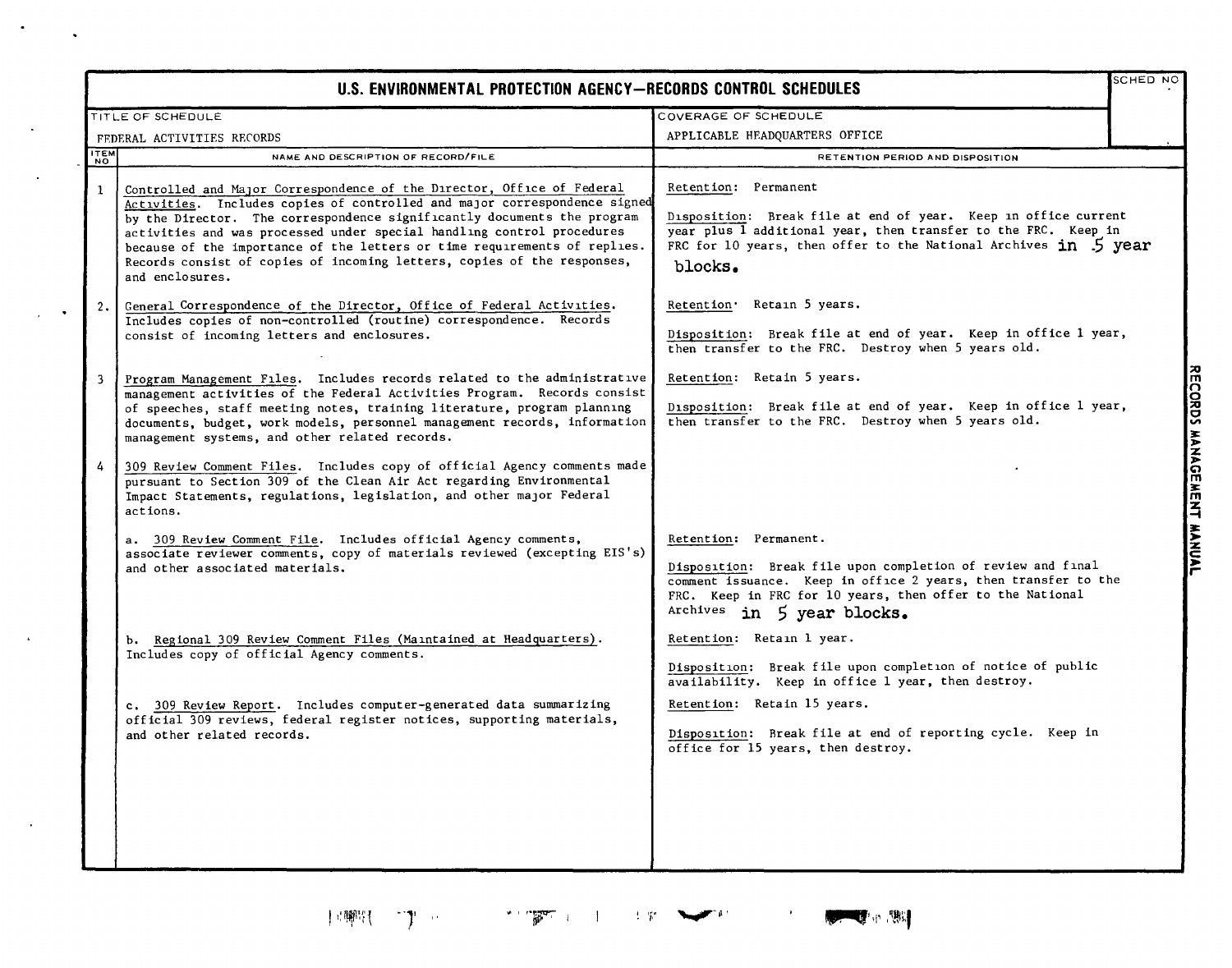| SCHED NO<br>U.S. ENVIRONMENTAL PROTECTION AGENCY-RECORDS CONTROL SCHEDULES |                                                                                                                                                                                                                                                                                                                                                                                                                                                                                     |                                                                                                                                                                                                                                        |  |
|----------------------------------------------------------------------------|-------------------------------------------------------------------------------------------------------------------------------------------------------------------------------------------------------------------------------------------------------------------------------------------------------------------------------------------------------------------------------------------------------------------------------------------------------------------------------------|----------------------------------------------------------------------------------------------------------------------------------------------------------------------------------------------------------------------------------------|--|
|                                                                            | TITLE OF SCHEDULE                                                                                                                                                                                                                                                                                                                                                                                                                                                                   | COVERAGE OF SCHEDULE                                                                                                                                                                                                                   |  |
|                                                                            | FEDERAL ACTIVITIES RECORDS                                                                                                                                                                                                                                                                                                                                                                                                                                                          | APPLICABLE HEADQUARTERS OFFICE                                                                                                                                                                                                         |  |
| <b>NOW</b>                                                                 | NAME AND DESCRIPTION OF RECORD/FILE                                                                                                                                                                                                                                                                                                                                                                                                                                                 | RETENTION PERIOD AND DISPOSITION                                                                                                                                                                                                       |  |
| $\mathbf{1}$                                                               | Controlled and Major Correspondence of the Director, Office of Federal<br>Activities. Includes copies of controlled and major correspondence signed<br>by the Director. The correspondence significantly documents the program<br>activities and was processed under special handling control procedures<br>because of the importance of the letters or time requirements of replies.<br>Records consist of copies of incoming letters, copies of the responses,<br>and enclosures. | Retention: Permanent<br>Disposition: Break file at end of year. Keep in office current<br>year plus 1 additional year, then transfer to the FRC. Keep in<br>FRC for 10 years, then offer to the National Archives in 5 year<br>blocks. |  |
| 2.                                                                         | General Correspondence of the Director, Office of Federal Activities.<br>Includes copies of non-controlled (routine) correspondence. Records<br>consist of incoming letters and enclosures.                                                                                                                                                                                                                                                                                         | Retention. Retain 5 years.<br>Disposition: Break file at end of year. Keep in office 1 year,<br>then transfer to the FRC. Destroy when 5 years old.                                                                                    |  |
| $\overline{3}$                                                             | Program Management Files. Includes records related to the administrative<br>management activities of the Federal Activities Program. Records consist<br>of speeches, staff meeting notes, training literature, program planning<br>documents, budget, work models, personnel management records, information<br>management systems, and other related records.                                                                                                                      | Retention: Retain 5 years.<br>Disposition: Break file at end of year. Keep in office 1 year,<br>then transfer to the FRC. Destroy when 5 years old.                                                                                    |  |
| 4                                                                          | 309 Review Comment Files. Includes copy of official Agency comments made<br>pursuant to Section 309 of the Clean Air Act regarding Environmental<br>Impact Statements, regulations, legislation, and other major Federal<br>actions.<br>a. 309 Review Comment File. Includes official Agency comments,<br>associate reviewer comments, copy of materials reviewed (excepting EIS's)<br>and other associated materials.                                                              | Retention: Permanent.<br>Disposition: Break file upon completion of review and final                                                                                                                                                   |  |
|                                                                            |                                                                                                                                                                                                                                                                                                                                                                                                                                                                                     | comment issuance. Keep in office 2 years, then transfer to the<br>FRC. Keep in FRC for 10 years, then offer to the National<br>Archives in 5 year blocks.                                                                              |  |
|                                                                            | b. Regional 309 Review Comment Files (Maintained at Headquarters).<br>Includes copy of official Agency comments.                                                                                                                                                                                                                                                                                                                                                                    | Retention: Retain 1 year.<br>Disposition: Break file upon completion of notice of public<br>availability. Keep in office 1 year, then destroy.                                                                                         |  |
|                                                                            | c. 309 Review Report. Includes computer-generated data summarizing<br>official 309 reviews, federal register notices, supporting materials,<br>and other related records.                                                                                                                                                                                                                                                                                                           | Retention: Retain 15 years.<br>Disposition: Break file at end of reporting cycle. Keep in<br>office for 15 years, then destroy.                                                                                                        |  |
|                                                                            |                                                                                                                                                                                                                                                                                                                                                                                                                                                                                     |                                                                                                                                                                                                                                        |  |

 $\bullet$ 

 $\Delta$ 

 $\langle \rangle$  $\mathcal{L}$ 

 $\bar{\star}$ 

 $\sim$ 

 $\bullet$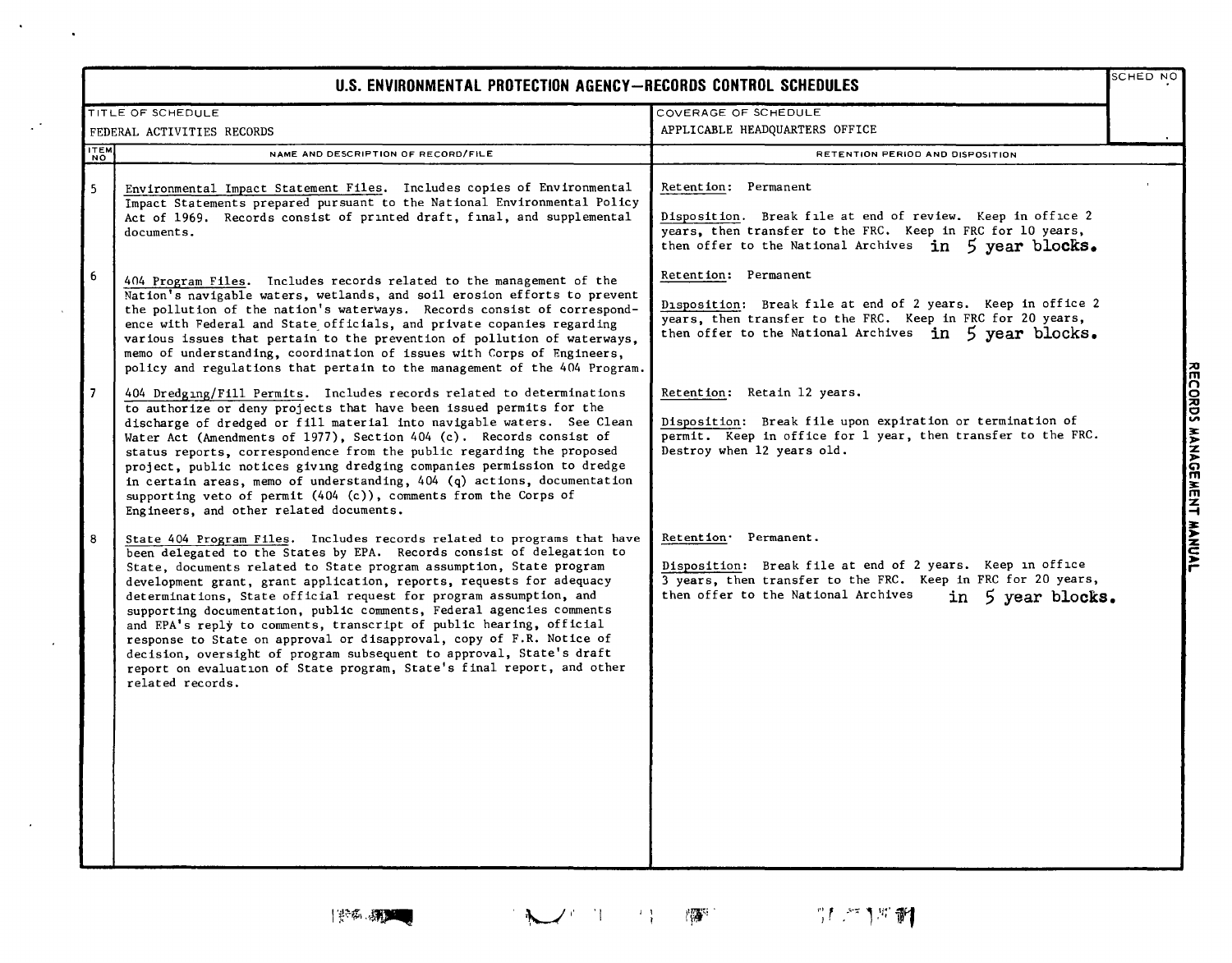| U.S. ENVIRONMENTAL PROTECTION AGENCY-RECORDS CONTROL SCHEDULES |  |
|----------------------------------------------------------------|--|
|----------------------------------------------------------------|--|

|                | TITLE OF SCHEDULE                                                                                                                                                                                                                                                                                                                                                                                                                                                                                                                                                                                                                                                                                                                                                  | COVERAGE OF SCHEDULE                                                                                                                                                                                          |                           |
|----------------|--------------------------------------------------------------------------------------------------------------------------------------------------------------------------------------------------------------------------------------------------------------------------------------------------------------------------------------------------------------------------------------------------------------------------------------------------------------------------------------------------------------------------------------------------------------------------------------------------------------------------------------------------------------------------------------------------------------------------------------------------------------------|---------------------------------------------------------------------------------------------------------------------------------------------------------------------------------------------------------------|---------------------------|
|                | FEDERAL ACTIVITIES RECORDS                                                                                                                                                                                                                                                                                                                                                                                                                                                                                                                                                                                                                                                                                                                                         | APPLICABLE HEADQUARTERS OFFICE                                                                                                                                                                                |                           |
| <b>ITEM</b>    | NAME AND DESCRIPTION OF RECORD/FILE                                                                                                                                                                                                                                                                                                                                                                                                                                                                                                                                                                                                                                                                                                                                | RETENTION PERIOD AND DISPOSITION                                                                                                                                                                              |                           |
| 5              | Environmental Impact Statement Files. Includes copies of Environmental<br>Impact Statements prepared pursuant to the National Environmental Policy<br>Act of 1969. Records consist of printed draft, final, and supplemental<br>documents.                                                                                                                                                                                                                                                                                                                                                                                                                                                                                                                         | Retention: Permanent<br>Disposition. Break file at end of review. Keep in office 2<br>years, then transfer to the FRC. Keep in FRC for 10 years,<br>then offer to the National Archives in 5 year blocks.     |                           |
| $6\phantom{1}$ | 404 Program Files. Includes records related to the management of the<br>Nation's navigable waters, wetlands, and soil erosion efforts to prevent<br>the pollution of the nation's waterways. Records consist of correspond-<br>ence with Federal and State officials, and private copanies regarding<br>various issues that pertain to the prevention of pollution of waterways,<br>memo of understanding, coordination of issues with Corps of Engineers,<br>policy and regulations that pertain to the management of the 404 Program.                                                                                                                                                                                                                            | Retention: Permanent<br>Disposition: Break file at end of 2 years. Keep in office 2<br>years, then transfer to the FRC. Keep in FRC for 20 years,<br>then offer to the National Archives in 5 year blocks.    |                           |
| $\overline{7}$ | 404 Dredging/Fill Permits. Includes records related to determinations<br>to authorize or deny projects that have been issued permits for the<br>discharge of dredged or fill material into navigable waters. See Clean<br>Water Act (Amendments of 1977), Section 404 (c). Records consist of<br>status reports, correspondence from the public regarding the proposed<br>project, public notices giving dredging companies permission to dredge<br>in certain areas, memo of understanding, $404$ (q) actions, documentation<br>supporting veto of permit (404 (c)), comments from the Corps of<br>Engineers, and other related documents.                                                                                                                        | Retention: Retain 12 years.<br>Disposition: Break file upon expiration or termination of<br>permit. Keep in office for 1 year, then transfer to the FRC.<br>Destroy when 12 years old.                        | RECORDS MANAGEMENT MANUAL |
| 8              | State 404 Program Files. Includes records related to programs that have<br>been delegated to the States by EPA. Records consist of delegation to<br>State, documents related to State program assumption, State program<br>development grant, grant application, reports, requests for adequacy<br>determinations. State official request for program assumption, and<br>supporting documentation, public comments, Federal agencies comments<br>and EPA's reply to comments, transcript of public hearing, official<br>response to State on approval or disapproval, copy of F.R. Notice of<br>decision, oversight of program subsequent to approval, State's draft<br>report on evaluation of State program, State's final report, and other<br>related records. | Retention Permanent.<br>Disposition: Break file at end of 2 years. Keep in office<br>3 years, then transfer to the FRC. Keep in FRC for 20 years,<br>then offer to the National Archives<br>in 5 year blocks. |                           |

RECORDS MANAGEMENT MANUAL

SCHED NO

 $\hat{\mathbf{r}}$ 

 $\mathbb{Z}^3$ 

 $\sim$ 

 $\epsilon$ 

 $\bullet$ 

 $\lambda$ 

"僵"。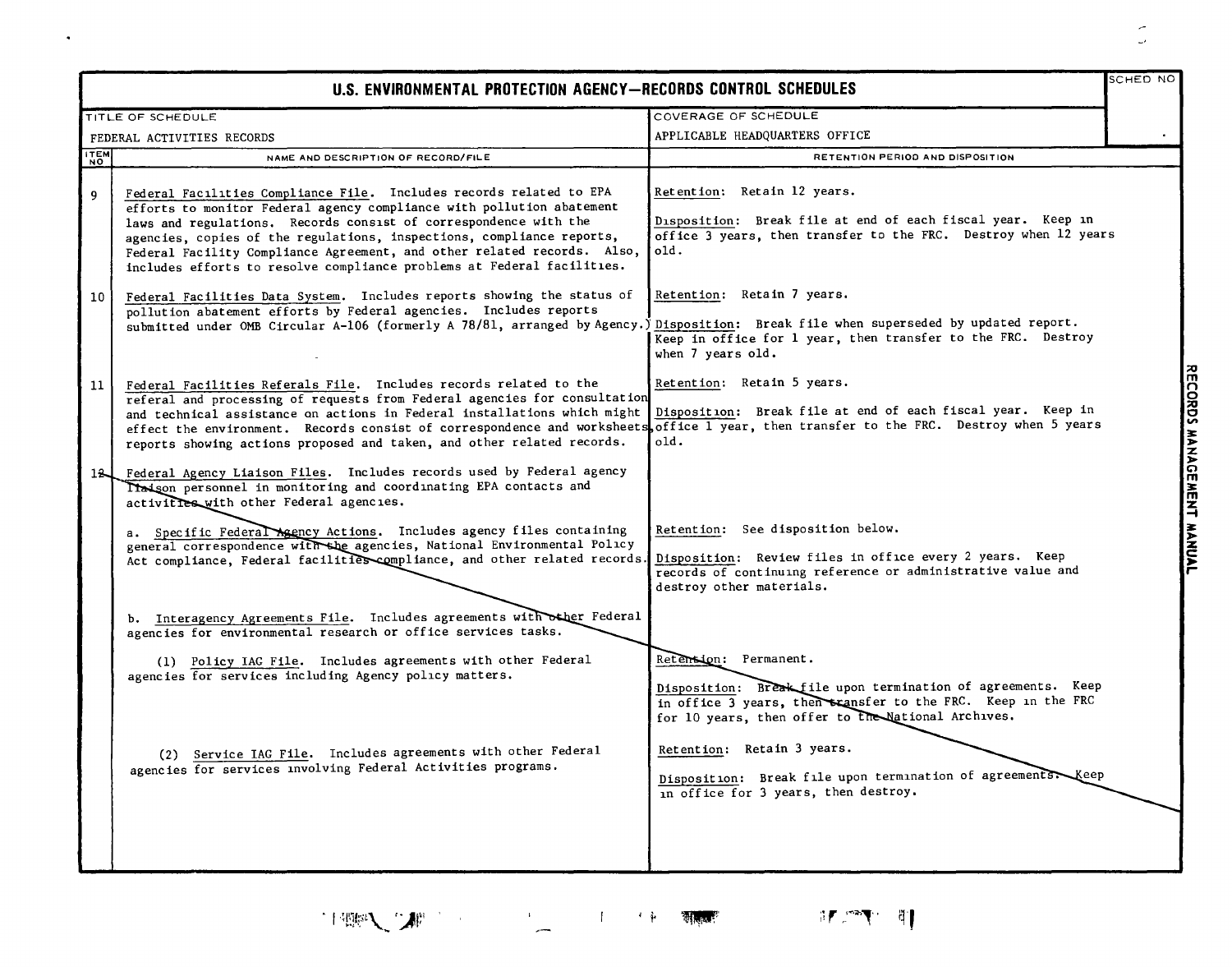|                    | U.S. ENVIRONMENTAL PROTECTION AGENCY-RECORDS CONTROL SCHEDULES                                                                                                                                                                                                                                                                                                                                                                                                                                                                                                                                                                                                              |                                                                                                                                                                                                                                                                                                                                                        | SCHED NO           |
|--------------------|-----------------------------------------------------------------------------------------------------------------------------------------------------------------------------------------------------------------------------------------------------------------------------------------------------------------------------------------------------------------------------------------------------------------------------------------------------------------------------------------------------------------------------------------------------------------------------------------------------------------------------------------------------------------------------|--------------------------------------------------------------------------------------------------------------------------------------------------------------------------------------------------------------------------------------------------------------------------------------------------------------------------------------------------------|--------------------|
|                    | TITLE OF SCHEDULE                                                                                                                                                                                                                                                                                                                                                                                                                                                                                                                                                                                                                                                           | COVERAGE OF SCHEDULE                                                                                                                                                                                                                                                                                                                                   |                    |
|                    | FEDERAL ACTIVITIES RECORDS                                                                                                                                                                                                                                                                                                                                                                                                                                                                                                                                                                                                                                                  | APPLICABLE HEADQUARTERS OFFICE                                                                                                                                                                                                                                                                                                                         |                    |
| <b>ITEM</b><br>NO. | NAME AND DESCRIPTION OF RECORD/FILE                                                                                                                                                                                                                                                                                                                                                                                                                                                                                                                                                                                                                                         | RETENTION PERIOD AND DISPOSITION                                                                                                                                                                                                                                                                                                                       |                    |
| 9<br>10            | Federal Facilities Compliance File. Includes records related to EPA<br>efforts to monitor Federal agency compliance with pollution abatement<br>laws and regulations. Records consist of correspondence with the<br>agencies, copies of the regulations, inspections, compliance reports,<br>Federal Facility Compliance Agreement, and other related records. Also,<br>includes efforts to resolve compliance problems at Federal facilities.<br>Federal Facilities Data System. Includes reports showing the status of<br>pollution abatement efforts by Federal agencies. Includes reports<br>submitted under OMB Circular A-106 (formerly A 78/81, arranged by Agency.) | Retention: Retain 12 years.<br>Disposition: Break file at end of each fiscal year. Keep in<br>office 3 years, then transfer to the FRC. Destroy when 12 years<br>old.<br>Retention: Retain 7 years.<br>Disposition: Break file when superseded by updated report.<br>Keep in office for 1 year, then transfer to the FRC. Destroy<br>when 7 years old. |                    |
| 11                 | Federal Facilities Referals File. Includes records related to the<br>referal and processing of requests from Federal agencies for consultation<br>and technical assistance on actions in Federal installations which might<br>effect the environment. Records consist of correspondence and worksheets office 1 year, then transfer to the FRC. Destroy when 5 years<br>reports showing actions proposed and taken, and other related records.                                                                                                                                                                                                                              | Retention: Retain 5 years.<br>Disposition: Break file at end of each fiscal year. Keep in<br>$01d$ .                                                                                                                                                                                                                                                   | RECORDS MANAGEMENT |
| 12J                | Federal Agency Liaison Files. Includes records used by Federal agency<br>Theison personnel in monitoring and coordinating EPA contacts and<br>activities with other Federal agencies.<br>a. Specific Federal Agency Actions. Includes agency files containing<br>general correspondence with the agencies, National Environmental Policy<br>Act compliance, Federal facilities compliance, and other related records.                                                                                                                                                                                                                                                       | Retention: See disposition below.<br>Disposition: Review files in office every 2 years. Keep<br>records of continuing reference or administrative value and<br>destroy other materials.                                                                                                                                                                | <b>HANNLAL</b>     |
|                    | b. Interagency Agreements File. Includes agreements with other Federal<br>agencies for environmental research or office services tasks.<br>(1) Policy IAG File. Includes agreements with other Federal<br>agencies for services including Agency policy matters.                                                                                                                                                                                                                                                                                                                                                                                                            | Retension: Permanent.<br>Disposition: Break file upon termination of agreements. Keep<br>in office 3 years, then scansfer to the FRC. Keep in the FRC<br>for 10 years, then offer to the National Archives.                                                                                                                                            |                    |
|                    | (2) Service IAG File. Includes agreements with other Federal<br>agencies for services involving Federal Activities programs.                                                                                                                                                                                                                                                                                                                                                                                                                                                                                                                                                | Retention: Retain 3 years.<br>Disposition: Break file upon termination of agreements. Keep<br>in office for 3 years, then destroy.                                                                                                                                                                                                                     |                    |

 $\mathcal{O}(\mathcal{A})$  and  $\mathcal{O}(\mathcal{A})$ 

;r. -1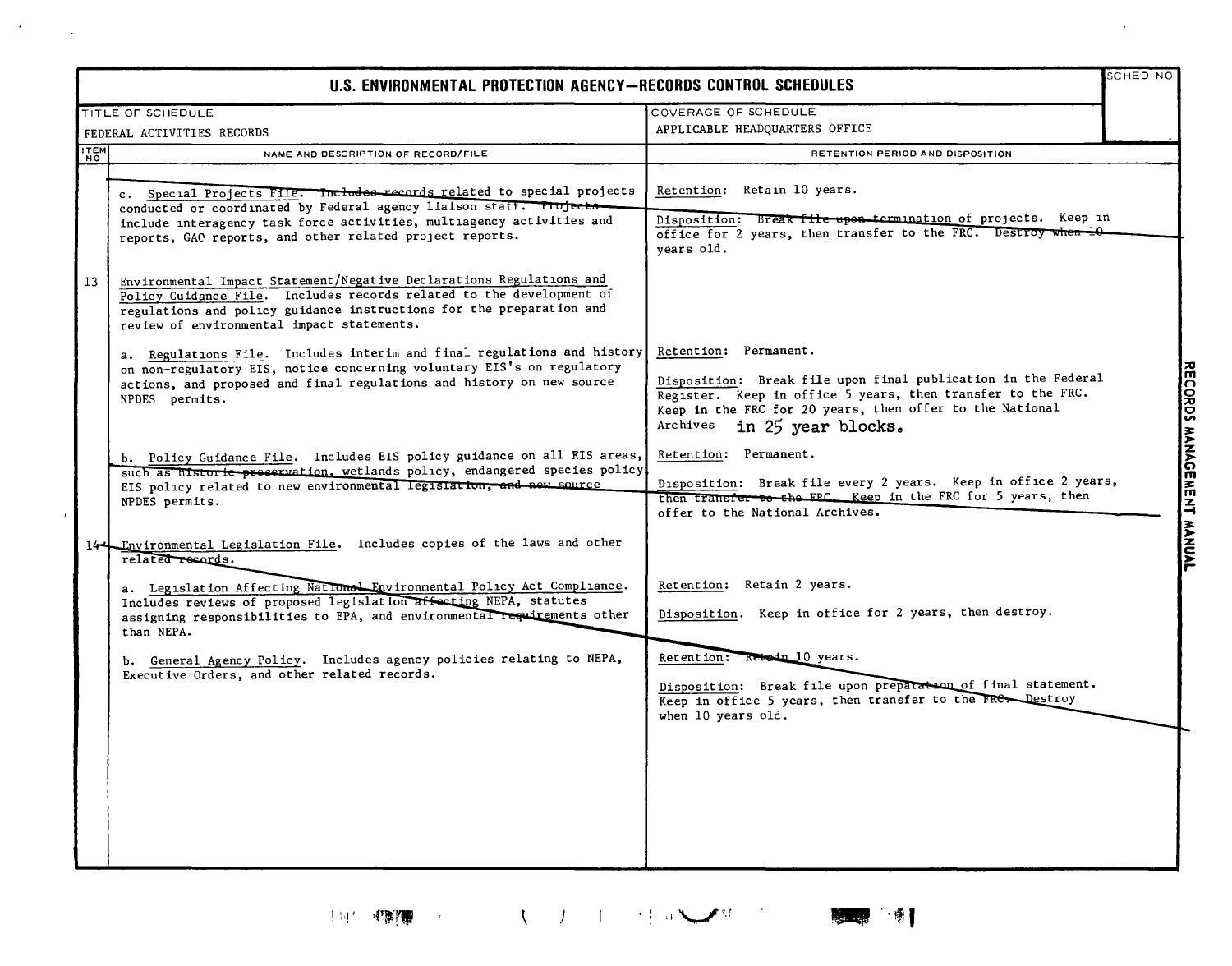| U.S. ENVIRONMENTAL PROTECTION AGENCY-RECORDS CONTROL SCHEDULES |                                                                                                                                                                                                                                                                                    |                                                                                                                                                                                                                                                  | SCHED NO |
|----------------------------------------------------------------|------------------------------------------------------------------------------------------------------------------------------------------------------------------------------------------------------------------------------------------------------------------------------------|--------------------------------------------------------------------------------------------------------------------------------------------------------------------------------------------------------------------------------------------------|----------|
|                                                                | TITLE OF SCHEDULE                                                                                                                                                                                                                                                                  | COVERAGE OF SCHEDULE                                                                                                                                                                                                                             |          |
|                                                                | FEDERAL ACTIVITIES RECORDS                                                                                                                                                                                                                                                         | APPLICABLE HEADQUARTERS OFFICE                                                                                                                                                                                                                   |          |
| <b>ITEM</b>                                                    | NAME AND DESCRIPTION OF RECORD/FILE                                                                                                                                                                                                                                                | RETENTION PERIOD AND DISPOSITION                                                                                                                                                                                                                 |          |
|                                                                | c. Special Projects File. Includes records related to special projects<br>conducted or coordinated by Federal agency liaison staff. Projects-<br>include interagency task force activities, multiagency activities and<br>reports, GAO reports, and other related project reports. | Retention: Retain 10 years.<br>Disposition: Break file upon termination of projects. Keep in<br>office for 2 years, then transfer to the FRC. Destroy when 10<br>years old.                                                                      |          |
| 13                                                             | Environmental Impact Statement/Negative Declarations Regulations and<br>Policy Guidance File. Includes records related to the development of<br>regulations and policy guidance instructions for the preparation and<br>review of environmental impact statements.                 |                                                                                                                                                                                                                                                  |          |
|                                                                | a. Regulations File. Includes interim and final regulations and history<br>on non-regulatory EIS, notice concerning voluntary EIS's on regulatory<br>actions, and proposed and final regulations and history on new source<br>NPDES permits.                                       | Retention: Permanent.<br>Disposition: Break file upon final publication in the Federal<br>Register. Keep in office 5 years, then transfer to the FRC.<br>Keep in the FRC for 20 years, then offer to the National<br>Archives in 25 year blocks. |          |
|                                                                | b. Policy Guidance File. Includes EIS policy guidance on all EIS areas,<br>such as historic-preservation, wetlands policy, endangered species policy<br>EIS policy related to new environmental legislation, and new source<br>NPDES permits.                                      | Retention: Permanent.<br>Disposition: Break file every 2 years. Keep in office 2 years,<br>then transfer to the FRC. Keep in the FRC for 5 years, then<br>offer to the National Archives.                                                        |          |
|                                                                | 14 Environmental Legislation File. Includes copies of the laws and other<br>related records.                                                                                                                                                                                       |                                                                                                                                                                                                                                                  |          |
|                                                                | a. Legislation Affecting National Environmental Policy Act Compliance.<br>Includes reviews of proposed legislation affecting NEPA, statutes<br>assigning responsibilities to EPA, and environmental requirements other<br>than NEPA.                                               | Retention: Retain 2 years.<br>Disposition. Keep in office for 2 years, then destroy.                                                                                                                                                             |          |
|                                                                | b. General Agency Policy. Includes agency policies relating to NEPA,<br>Executive Orders, and other related records.                                                                                                                                                               | Retention: Retein 10 years.<br>Disposition: Break file upon preparation of final statement.<br>Keep in office 5 years, then transfer to the FRC. Destroy<br>when 10 years old.                                                                   |          |
|                                                                |                                                                                                                                                                                                                                                                                    |                                                                                                                                                                                                                                                  |          |

 $\sim 10^{-10}$ 

 $\mathcal{L}$ 

- 喇  $\mathbf{r}_{\mathrm{max}}$ 

 $\sim$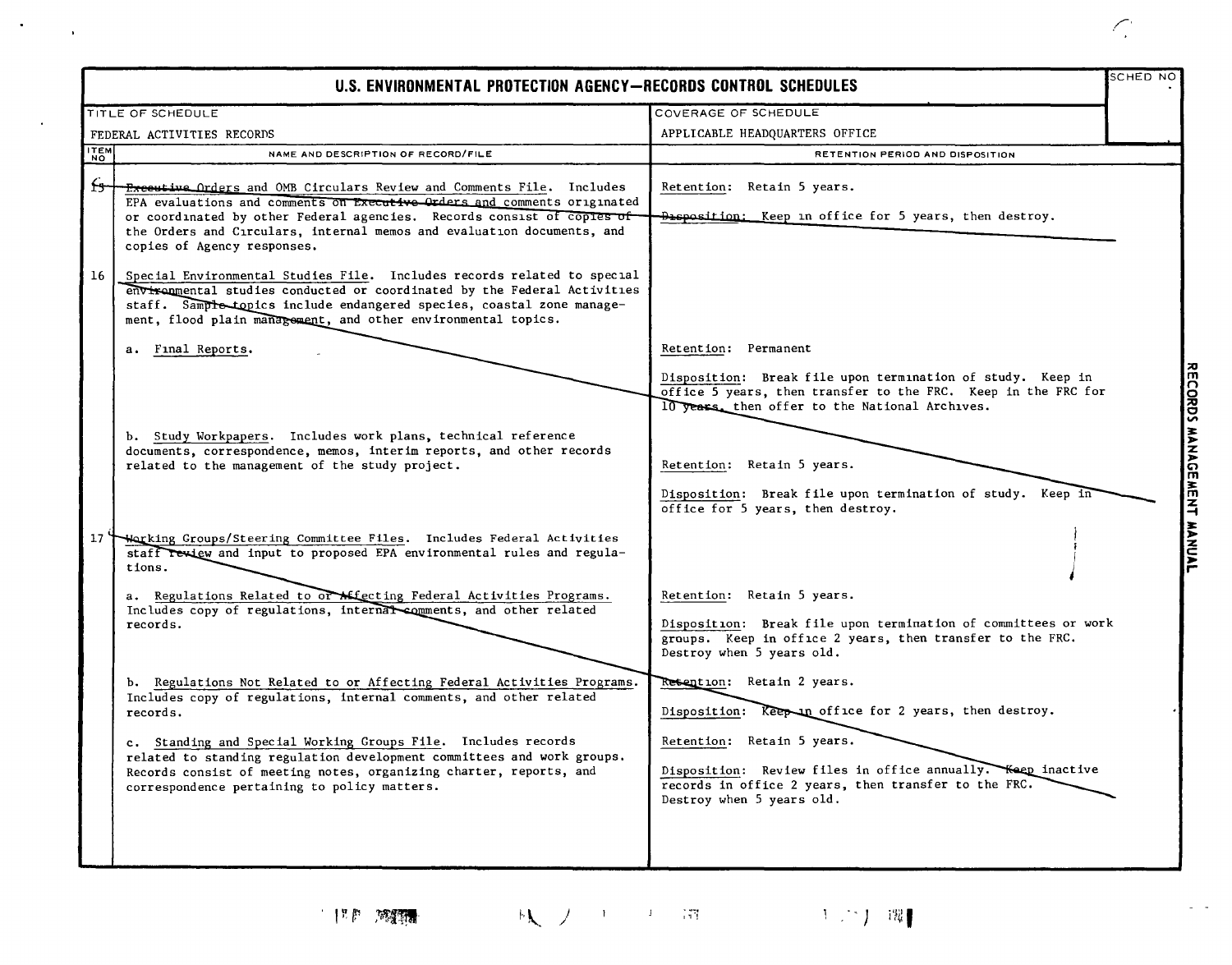|                                                                                                                                                                                                                                                                                                                                                                                                                            |                                                                                                                                                                                                                                                                        | SCHED NC                                                       |
|----------------------------------------------------------------------------------------------------------------------------------------------------------------------------------------------------------------------------------------------------------------------------------------------------------------------------------------------------------------------------------------------------------------------------|------------------------------------------------------------------------------------------------------------------------------------------------------------------------------------------------------------------------------------------------------------------------|----------------------------------------------------------------|
|                                                                                                                                                                                                                                                                                                                                                                                                                            | COVERAGE OF SCHEDULE                                                                                                                                                                                                                                                   |                                                                |
|                                                                                                                                                                                                                                                                                                                                                                                                                            | APPLICABLE HEADQUARTERS OFFICE                                                                                                                                                                                                                                         |                                                                |
| NAME AND DESCRIPTION OF RECORD/FILE                                                                                                                                                                                                                                                                                                                                                                                        | RETENTION PERIOD AND DISPOSITION                                                                                                                                                                                                                                       |                                                                |
| <b>Executive Orders and OMB Circulars Review and Comments File.</b> Includes<br>EPA evaluations and comments on Executive Orders and comments originated<br>or coordinated by other Federal agencies. Records consist of copies of<br>the Orders and Circulars, internal memos and evaluation documents, and<br>copies of Agency responses.                                                                                | Retention: Retain 5 years.<br>Disposition: Keep in office for 5 years, then destroy.                                                                                                                                                                                   |                                                                |
| Special Environmental Studies File. Includes records related to special<br>environmental studies conducted or coordinated by the Federal Activities<br>staff. Sample topics include endangered species, coastal zone manage-<br>ment, flood plain management, and other environmental topics.                                                                                                                              |                                                                                                                                                                                                                                                                        |                                                                |
| a. Final Reports.                                                                                                                                                                                                                                                                                                                                                                                                          | Retention: Permanent<br>Disposition: Break file upon termination of study. Keep in<br>office 5 years, then transfer to the FRC. Keep in the FRC for<br>10 years, then offer to the National Archives.                                                                  |                                                                |
| b. Study Workpapers. Includes work plans, technical reference<br>documents, correspondence, memos, interim reports, and other records<br>related to the management of the study project.                                                                                                                                                                                                                                   | Retention: Retain 5 years.<br>Disposition: Break file upon termination of study. Keep in<br>office for 5 years, then destroy.                                                                                                                                          |                                                                |
| Warking Groups/Steering Committee Files. Includes Federal Activities<br>staff review and input to proposed EPA environmental rules and regula-<br>tions.                                                                                                                                                                                                                                                                   |                                                                                                                                                                                                                                                                        |                                                                |
| a. Regulations Related to or Affecting Federal Activities Programs.<br>Includes copy of regulations, internate comments, and other related<br>records.                                                                                                                                                                                                                                                                     | Retention: Retain 5 years.<br>Disposition: Break file upon termination of committees or work<br>groups. Keep in office 2 years, then transfer to the FRC.<br>Destroy when 5 years old.                                                                                 |                                                                |
| b. Regulations Not Related to or Affecting Federal Activities Programs.<br>Includes copy of regulations, internal comments, and other related<br>records.<br>c. Standing and Special Working Groups File. Includes records<br>related to standing regulation development committees and work groups.<br>Records consist of meeting notes, organizing charter, reports, and<br>correspondence pertaining to policy matters. | Resention: Retain 2 years.<br>Disposition: Keep in office for 2 years, then destroy.<br>Retention: Retain 5 years.<br>Disposition: Review files in office annually. Keep inactive<br>records in office 2 years, then transfer to the FRC.<br>Destroy when 5 years old. |                                                                |
| <b>ITEM</b>                                                                                                                                                                                                                                                                                                                                                                                                                | TITLE OF SCHEDULE<br>FEDERAL ACTIVITIES RECORDS<br>$17 \text{ H}$                                                                                                                                                                                                      | U.S. ENVIRONMENTAL PROTECTION AGENCY-RECORDS CONTROL SCHEDULES |

 $\mathcal{O}(\mathcal{O}_\mathcal{A})$  .

 $\sim 100$ 

**... I' -;"** !.". ) **!**

 $\bigcap_i$